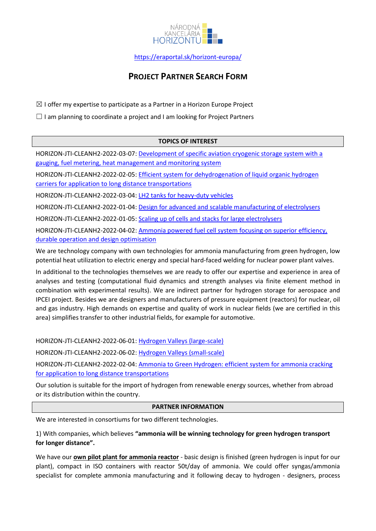

# **PROJECT PARTNER SEARCH FORM**

 $\boxtimes$  I offer my expertise to participate as a Partner in a Horizon Europe Project

 $\Box$  I am planning to coordinate a project and I am looking for Project Partners

### **TOPICS OF INTEREST**

HORIZON-JTI-CLEANH2-2022-03-07: [Development of specific aviation cryogenic storage system with a](https://ec.europa.eu/info/funding-tenders/opportunities/portal/screen/opportunities/topic-details/horizon-jti-cleanh2-2022-03-07;callCode=HORIZON-JTI-CLEANH2-2022-1;freeTextSearchKeyword=;matchWholeText=true;typeCodes=0,1,2,8;statusCodes=31094501,31094502,31094503;programmePeriod=null;programCcm2Id=null;programDivisionCode=null;focusAreaCode=null;destination=null;mission=null;geographicalZonesCode=null;programmeDivisionProspect=null;startDateLte=null;startDateGte=null;crossCuttingPriorityCode=null;cpvCode=null;performanceOfDelivery=null;sortQuery=sortStatus;orderBy=asc;onlyTenders=false;topicListKey=topicSearchTablePageState)  [gauging, fuel metering, heat management and monitoring system](https://ec.europa.eu/info/funding-tenders/opportunities/portal/screen/opportunities/topic-details/horizon-jti-cleanh2-2022-03-07;callCode=HORIZON-JTI-CLEANH2-2022-1;freeTextSearchKeyword=;matchWholeText=true;typeCodes=0,1,2,8;statusCodes=31094501,31094502,31094503;programmePeriod=null;programCcm2Id=null;programDivisionCode=null;focusAreaCode=null;destination=null;mission=null;geographicalZonesCode=null;programmeDivisionProspect=null;startDateLte=null;startDateGte=null;crossCuttingPriorityCode=null;cpvCode=null;performanceOfDelivery=null;sortQuery=sortStatus;orderBy=asc;onlyTenders=false;topicListKey=topicSearchTablePageState)

HORIZON-JTI-CLEANH2-2022-02-05: [Efficient system for dehydrogenation of liquid organic hydrogen](https://ec.europa.eu/info/funding-tenders/opportunities/portal/screen/opportunities/topic-details/horizon-jti-cleanh2-2022-02-05;callCode=HORIZON-JTI-CLEANH2-2022-2;freeTextSearchKeyword=;matchWholeText=true;typeCodes=0,1,2,8;statusCodes=31094501,31094502,31094503;programmePeriod=2021%20-%202027;programCcm2Id=43108390;programDivisionCode=null;focusAreaCode=null;destination=null;mission=null;geographicalZonesCode=null;programmeDivisionProspect=null;startDateLte=null;startDateGte=null;crossCuttingPriorityCode=null;cpvCode=null;performanceOfDelivery=null;sortQuery=sortStatus;orderBy=asc;onlyTenders=false;topicListKey=topicSearchTablePageState)  [carriers for application to long distance transportations](https://ec.europa.eu/info/funding-tenders/opportunities/portal/screen/opportunities/topic-details/horizon-jti-cleanh2-2022-02-05;callCode=HORIZON-JTI-CLEANH2-2022-2;freeTextSearchKeyword=;matchWholeText=true;typeCodes=0,1,2,8;statusCodes=31094501,31094502,31094503;programmePeriod=2021%20-%202027;programCcm2Id=43108390;programDivisionCode=null;focusAreaCode=null;destination=null;mission=null;geographicalZonesCode=null;programmeDivisionProspect=null;startDateLte=null;startDateGte=null;crossCuttingPriorityCode=null;cpvCode=null;performanceOfDelivery=null;sortQuery=sortStatus;orderBy=asc;onlyTenders=false;topicListKey=topicSearchTablePageState)

HORIZON-JTI-CLEANH2-2022-03-04: [LH2 tanks for heavy-duty vehicles](https://ec.europa.eu/info/funding-tenders/opportunities/portal/screen/opportunities/topic-details/horizon-jti-cleanh2-2022-03-04;callCode=HORIZON-JTI-CLEANH2-2022-1;freeTextSearchKeyword=;matchWholeText=true;typeCodes=0,1,2,8;statusCodes=31094501,31094502,31094503;programmePeriod=null;programCcm2Id=null;programDivisionCode=null;focusAreaCode=null;destination=null;mission=null;geographicalZonesCode=null;programmeDivisionProspect=null;startDateLte=null;startDateGte=null;crossCuttingPriorityCode=null;cpvCode=null;performanceOfDelivery=null;sortQuery=sortStatus;orderBy=asc;onlyTenders=false;topicListKey=topicSearchTablePageState)

HORIZON-JTI-CLEANH2-2022-01-04: [Design for advanced and scalable manufacturing of electrolysers](https://ec.europa.eu/info/funding-tenders/opportunities/portal/screen/opportunities/topic-details/horizon-jti-cleanh2-2022-01-04;callCode=HORIZON-JTI-CLEANH2-2022-2;freeTextSearchKeyword=;matchWholeText=true;typeCodes=0,1,2,8;statusCodes=31094501,31094502,31094503;programmePeriod=2021%20-%202027;programCcm2Id=43108390;programDivisionCode=null;focusAreaCode=null;destination=null;mission=null;geographicalZonesCode=null;programmeDivisionProspect=null;startDateLte=null;startDateGte=null;crossCuttingPriorityCode=null;cpvCode=null;performanceOfDelivery=null;sortQuery=sortStatus;orderBy=asc;onlyTenders=false;topicListKey=topicSearchTablePageState)

HORIZON-JTI-CLEANH2-2022-01-05: [Scaling up of cells and stacks for large electrolysers](https://ec.europa.eu/info/funding-tenders/opportunities/portal/screen/opportunities/topic-details/horizon-jti-cleanh2-2022-01-05;callCode=HORIZON-JTI-CLEANH2-2022-2;freeTextSearchKeyword=;matchWholeText=true;typeCodes=0,1,2,8;statusCodes=31094501,31094502,31094503;programmePeriod=2021%20-%202027;programCcm2Id=43108390;programDivisionCode=null;focusAreaCode=null;destination=null;mission=null;geographicalZonesCode=null;programmeDivisionProspect=null;startDateLte=null;startDateGte=null;crossCuttingPriorityCode=null;cpvCode=null;performanceOfDelivery=null;sortQuery=sortStatus;orderBy=asc;onlyTenders=false;topicListKey=topicSearchTablePageState)

HORIZON-JTI-CLEANH2-2022-04-02: [Ammonia powered fuel cell system focusing on superior efficiency,](https://ec.europa.eu/info/funding-tenders/opportunities/portal/screen/opportunities/topic-details/horizon-jti-cleanh2-2022-04-02;callCode=HORIZON-JTI-CLEANH2-2022-1;freeTextSearchKeyword=;matchWholeText=true;typeCodes=0,1,2,8;statusCodes=31094501,31094502,31094503;programmePeriod=null;programCcm2Id=null;programDivisionCode=null;focusAreaCode=null;destination=null;mission=null;geographicalZonesCode=null;programmeDivisionProspect=null;startDateLte=null;startDateGte=null;crossCuttingPriorityCode=null;cpvCode=null;performanceOfDelivery=null;sortQuery=sortStatus;orderBy=asc;onlyTenders=false;topicListKey=topicSearchTablePageState)  [durable operation and design optimisation](https://ec.europa.eu/info/funding-tenders/opportunities/portal/screen/opportunities/topic-details/horizon-jti-cleanh2-2022-04-02;callCode=HORIZON-JTI-CLEANH2-2022-1;freeTextSearchKeyword=;matchWholeText=true;typeCodes=0,1,2,8;statusCodes=31094501,31094502,31094503;programmePeriod=null;programCcm2Id=null;programDivisionCode=null;focusAreaCode=null;destination=null;mission=null;geographicalZonesCode=null;programmeDivisionProspect=null;startDateLte=null;startDateGte=null;crossCuttingPriorityCode=null;cpvCode=null;performanceOfDelivery=null;sortQuery=sortStatus;orderBy=asc;onlyTenders=false;topicListKey=topicSearchTablePageState)

We are technology company with own technologies for ammonia manufacturing from green hydrogen, low potential heat utilization to electric energy and special hard-faced welding for nuclear power plant valves.

In additional to the technologies themselves we are ready to offer our expertise and experience in area of analyses and testing (computational fluid dynamics and strength analyses via finite element method in combination with experimental results). We are indirect partner for hydrogen storage for aerospace and IPCEI project. Besides we are designers and manufacturers of pressure equipment (reactors) for nuclear, oil and gas industry. High demands on expertise and quality of work in nuclear fields (we are certified in this area) simplifies transfer to other industrial fields, for example for automotive.

HORIZON-JTI-CLEANH2-2022-06-01: [Hydrogen Valleys \(large-scale\)](https://ec.europa.eu/info/funding-tenders/opportunities/portal/screen/opportunities/topic-details/horizon-jti-cleanh2-2022-06-01;callCode=HORIZON-JTI-CLEANH2-2022-2;freeTextSearchKeyword=;matchWholeText=true;typeCodes=0,1,2,8;statusCodes=31094501,31094502,31094503;programmePeriod=2021%20-%202027;programCcm2Id=43108390;programDivisionCode=null;focusAreaCode=null;destination=null;mission=null;geographicalZonesCode=null;programmeDivisionProspect=null;startDateLte=null;startDateGte=null;crossCuttingPriorityCode=null;cpvCode=null;performanceOfDelivery=null;sortQuery=sortStatus;orderBy=asc;onlyTenders=false;topicListKey=topicSearchTablePageState)

HORIZON-JTI-CLEANH2-2022-06-02: [Hydrogen Valleys \(small-scale\)](https://ec.europa.eu/info/funding-tenders/opportunities/portal/screen/opportunities/topic-details/horizon-jti-cleanh2-2022-06-02;callCode=HORIZON-JTI-CLEANH2-2022-2;freeTextSearchKeyword=;matchWholeText=true;typeCodes=0,1,2,8;statusCodes=31094501,31094502,31094503;programmePeriod=2021%20-%202027;programCcm2Id=43108390;programDivisionCode=null;focusAreaCode=null;destination=null;mission=null;geographicalZonesCode=null;programmeDivisionProspect=null;startDateLte=null;startDateGte=null;crossCuttingPriorityCode=null;cpvCode=null;performanceOfDelivery=null;sortQuery=sortStatus;orderBy=asc;onlyTenders=false;topicListKey=topicSearchTablePageState)

HORIZON-JTI-CLEANH2-2022-02-04: [Ammonia to Green Hydrogen: efficient system for ammonia cracking](https://ec.europa.eu/info/funding-tenders/opportunities/portal/screen/opportunities/topic-details/horizon-jti-cleanh2-2022-02-04;callCode=HORIZON-JTI-CLEANH2-2022-2;freeTextSearchKeyword=;matchWholeText=true;typeCodes=0,1,2,8;statusCodes=31094501,31094502,31094503;programmePeriod=2021%20-%202027;programCcm2Id=43108390;programDivisionCode=null;focusAreaCode=null;destination=null;mission=null;geographicalZonesCode=null;programmeDivisionProspect=null;startDateLte=null;startDateGte=null;crossCuttingPriorityCode=null;cpvCode=null;performanceOfDelivery=null;sortQuery=sortStatus;orderBy=asc;onlyTenders=false;topicListKey=topicSearchTablePageState)  [for application to long distance transportations](https://ec.europa.eu/info/funding-tenders/opportunities/portal/screen/opportunities/topic-details/horizon-jti-cleanh2-2022-02-04;callCode=HORIZON-JTI-CLEANH2-2022-2;freeTextSearchKeyword=;matchWholeText=true;typeCodes=0,1,2,8;statusCodes=31094501,31094502,31094503;programmePeriod=2021%20-%202027;programCcm2Id=43108390;programDivisionCode=null;focusAreaCode=null;destination=null;mission=null;geographicalZonesCode=null;programmeDivisionProspect=null;startDateLte=null;startDateGte=null;crossCuttingPriorityCode=null;cpvCode=null;performanceOfDelivery=null;sortQuery=sortStatus;orderBy=asc;onlyTenders=false;topicListKey=topicSearchTablePageState)

Our solution is suitable for the import of hydrogen from renewable energy sources, whether from abroad or its distribution within the country.

#### **PARTNER INFORMATION**

We are interested in consortiums for two different technologies.

1) With companies, which believes **"ammonia will be winning technology for green hydrogen transport for longer distance".**

We have our **own pilot plant for ammonia reactor** - basic design is finished (green hydrogen is input for our plant), compact in ISO containers with reactor 50t/day of ammonia. We could offer syngas/ammonia specialist for complete ammonia manufacturing and it following decay to hydrogen - designers, process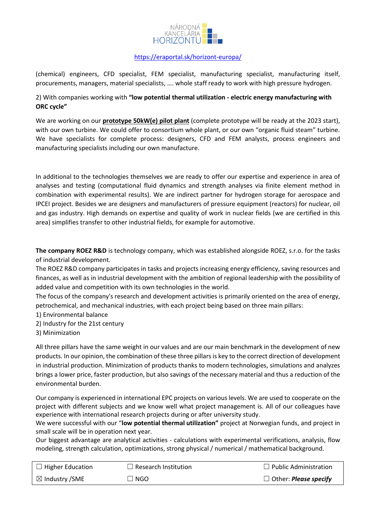

(chemical) engineers, CFD specialist, FEM specialist, manufacturing specialist, manufacturing itself, procurements, managers, material specialists, …. whole staff ready to work with high pressure hydrogen.

## 2) With companies working with **"low potential thermal utilization - electric energy manufacturing with ORC cycle"**

We are working on our **prototype 50kW(e) pilot plant** (complete prototype will be ready at the 2023 start), with our own turbine. We could offer to consortium whole plant, or our own "organic fluid steam" turbine. We have specialists for complete process: designers, CFD and FEM analysts, process engineers and manufacturing specialists including our own manufacture.

In additional to the technologies themselves we are ready to offer our expertise and experience in area of analyses and testing (computational fluid dynamics and strength analyses via finite element method in combination with experimental results). We are indirect partner for hydrogen storage for aerospace and IPCEI project. Besides we are designers and manufacturers of pressure equipment (reactors) for nuclear, oil and gas industry. High demands on expertise and quality of work in nuclear fields (we are certified in this area) simplifies transfer to other industrial fields, for example for automotive.

**The company ROEZ R&D** is technology company, which was established alongside ROEZ, s.r.o. for the tasks of industrial development.

The ROEZ R&D company participates in tasks and projects increasing energy efficiency, saving resources and finances, as well as in industrial development with the ambition of regional leadership with the possibility of added value and competition with its own technologies in the world.

The focus of the company's research and development activities is primarily oriented on the area of energy, petrochemical, and mechanical industries, with each project being based on three main pillars:

- 1) Environmental balance
- 2) Industry for the 21st century
- 3) Minimization

All three pillars have the same weight in our values and are our main benchmark in the development of new products. In our opinion, the combination of these three pillars is key to the correct direction of development in industrial production. Minimization of products thanks to modern technologies, simulations and analyzes brings a lower price, faster production, but also savings of the necessary material and thus a reduction of the environmental burden.

Our company is experienced in international EPC projects on various levels. We are used to cooperate on the project with different subjects and we know well what project management is. All of our colleagues have experience with international research projects during or after university study.

We were successful with our "**low potential thermal utilization"** project at Norwegian funds, and project in small scale will be in operation next year.

Our biggest advantage are analytical activities - calculations with experimental verifications, analysis, flow modeling, strength calculation, optimizations, strong physical / numerical / mathematical background.

| $\Box$ Higher Education   | $\Box$ Research Institution | $\Box$ Public Administration        |
|---------------------------|-----------------------------|-------------------------------------|
| $\boxtimes$ Industry /SME | I NGO                       | $\Box$ Other: <i>Please specify</i> |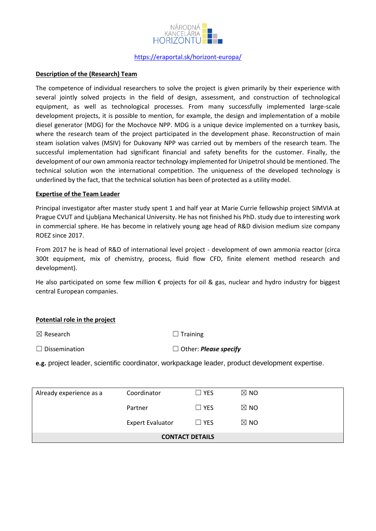

#### **Description of the (Research) Team**

The competence of individual researchers to solve the project is given primarily by their experience with several jointly solved projects in the field of design, assessment, and construction of technological equipment, as well as technological processes. From many successfully implemented large-scale development projects, it is possible to mention, for example, the design and implementation of a mobile diesel generator (MDG) for the Mochovce NPP. MDG is a unique device implemented on a turnkey basis, where the research team of the project participated in the development phase. Reconstruction of main steam isolation valves (MSIV) for Dukovany NPP was carried out by members of the research team. The successful implementation had significant financial and safety benefits for the customer. Finally, the development of our own ammonia reactor technology implemented for Unipetrol should be mentioned. The technical solution won the international competition. The uniqueness of the developed technology is underlined by the fact, that the technical solution has been of protected as a utility model.

#### **Expertise of the Team Leader**

Principal investigator after master study spent 1 and half year at Marie Currie fellowship project SIMVIA at Prague CVUT and Ljubljana Mechanical University. He has not finished his PhD. study due to interesting work in commercial sphere. He has become in relatively young age head of R&D division medium size company ROEZ since 2017.

From 2017 he is head of R&D of international level project - development of own ammonia reactor (circa 300t equipment, mix of chemistry, process, fluid flow CFD, finite element method research and development).

He also participated on some few million € projects for oil & gas, nuclear and hydro industry for biggest central European companies.

#### **Potential role in the project**

 $\boxtimes$  Research  $\Box$  Training

☐ Dissemination ☐ Other: *Please specify*

**e.g.** project leader, scientific coordinator, workpackage leader, product development expertise.

| <b>CONTACT DETAILS</b>  |                         |            |                |  |
|-------------------------|-------------------------|------------|----------------|--|
|                         | <b>Expert Evaluator</b> | $\Box$ YES | $\boxtimes$ NO |  |
|                         | Partner                 | $\Box$ YES | $\boxtimes$ NO |  |
| Already experience as a | Coordinator             | $\Box$ YES | $\boxtimes$ NO |  |